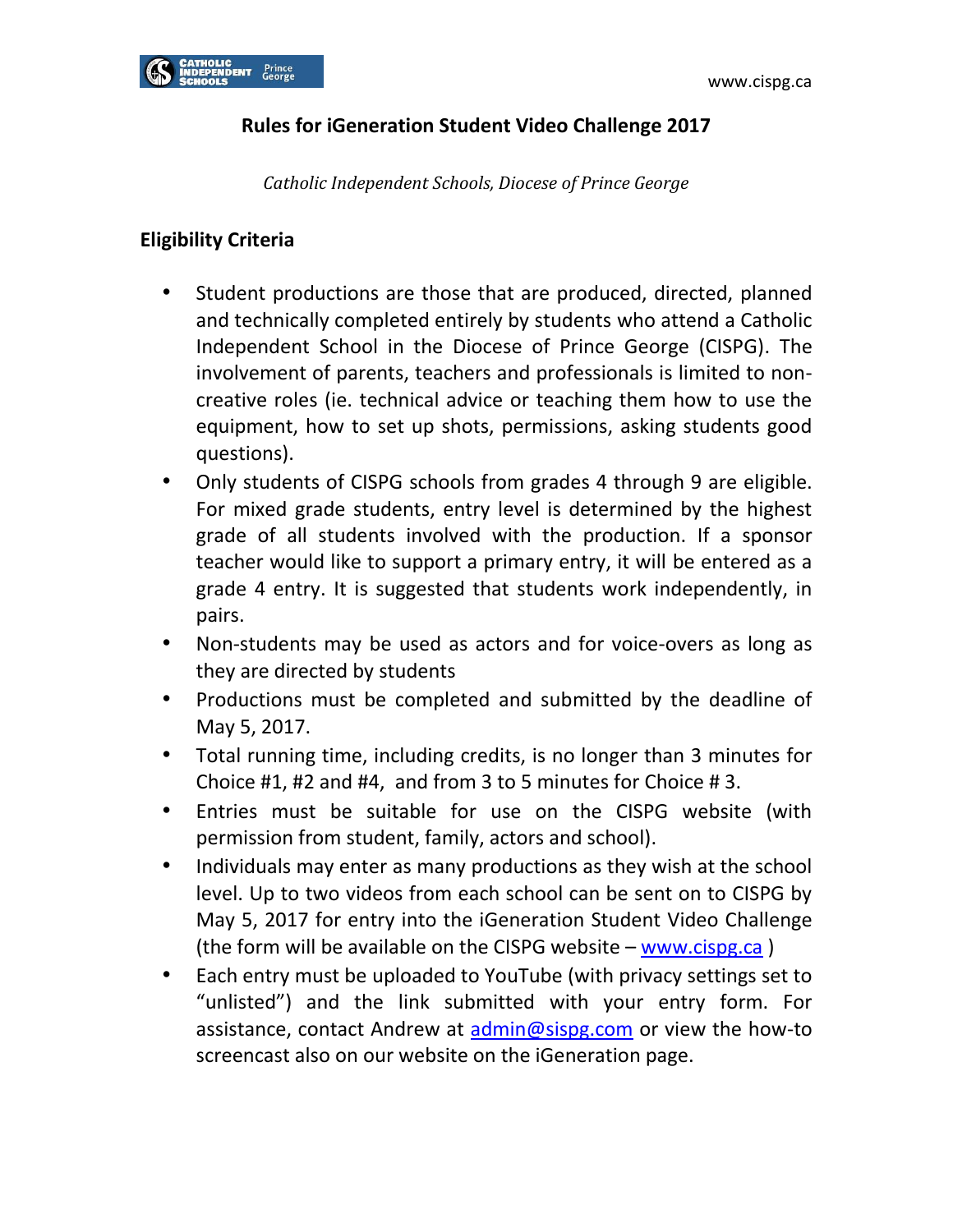# **Rules for iGeneration Student Video Challenge 2017**

*Catholic Independent Schools, Diocese of Prince George*

# **Eligibility Criteria**

- Student productions are those that are produced, directed, planned and technically completed entirely by students who attend a Catholic Independent School in the Diocese of Prince George (CISPG). The involvement of parents, teachers and professionals is limited to noncreative roles (ie. technical advice or teaching them how to use the equipment, how to set up shots, permissions, asking students good questions).
- Only students of CISPG schools from grades 4 through 9 are eligible. For mixed grade students, entry level is determined by the highest grade of all students involved with the production. If a sponsor teacher would like to support a primary entry, it will be entered as a grade 4 entry. It is suggested that students work independently, in pairs.
- Non-students may be used as actors and for voice-overs as long as they are directed by students
- Productions must be completed and submitted by the deadline of May 5, 2017.
- Total running time, including credits, is no longer than 3 minutes for Choice #1, #2 and #4, and from 3 to 5 minutes for Choice # 3.
- Entries must be suitable for use on the CISPG website (with permission from student, family, actors and school).
- Individuals may enter as many productions as they wish at the school level. Up to two videos from each school can be sent on to CISPG by May 5, 2017 for entry into the iGeneration Student Video Challenge (the form will be available on the CISPG website – [www.cispg.ca](http://www.cispg.ca/) )
- Each entry must be uploaded to YouTube (with privacy settings set to "unlisted") and the link submitted with your entry form. For assistance, contact Andrew at [admin@sispg.com](mailto:admin@sispg.com) or view the how-to screencast also on our website on the iGeneration page.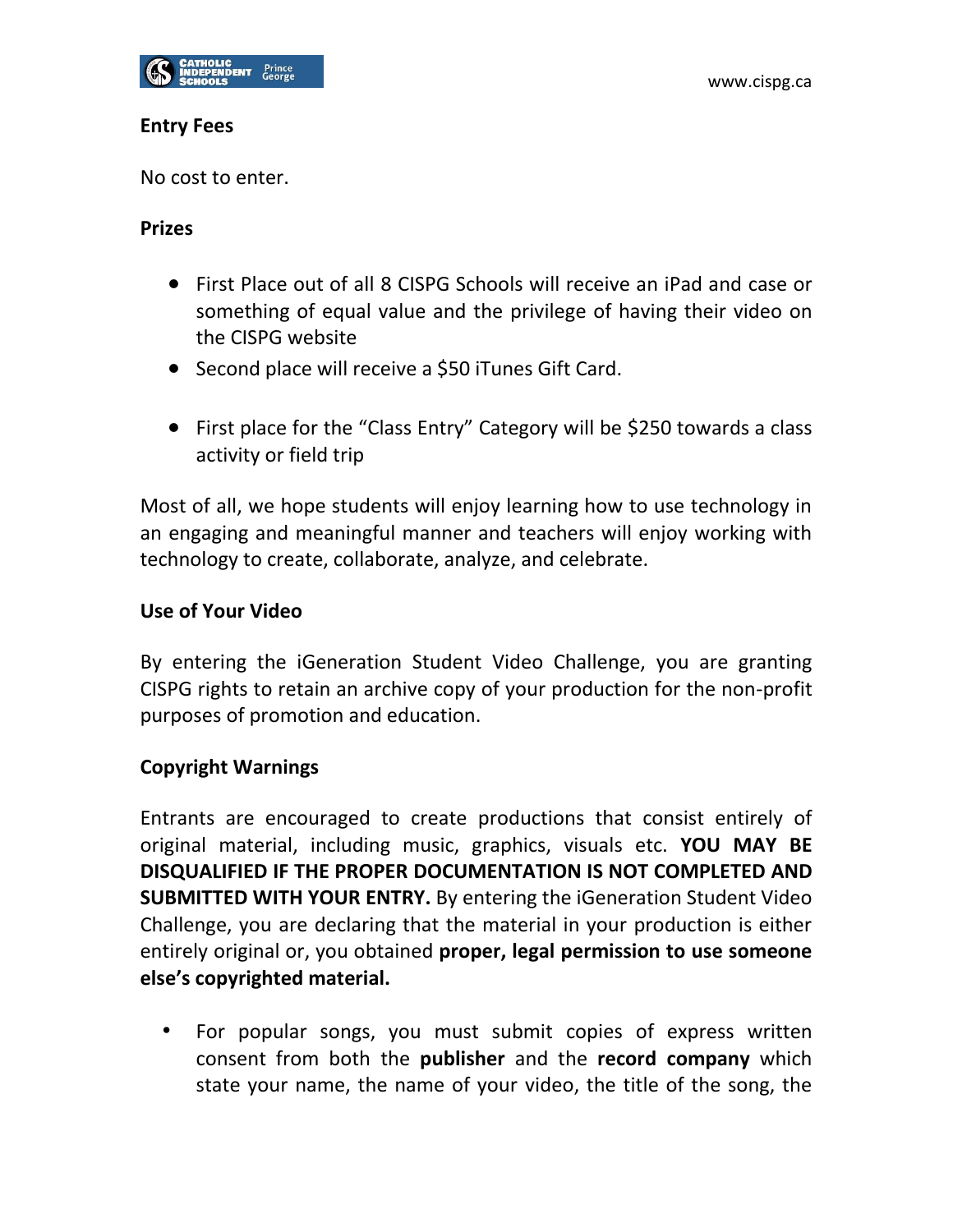

#### **Entry Fees**

No cost to enter.

## **Prizes**

- First Place out of all 8 CISPG Schools will receive an iPad and case or something of equal value and the privilege of having their video on the CISPG website
- Second place will receive a \$50 iTunes Gift Card.
- First place for the "Class Entry" Category will be \$250 towards a class activity or field trip

Most of all, we hope students will enjoy learning how to use technology in an engaging and meaningful manner and teachers will enjoy working with technology to create, collaborate, analyze, and celebrate.

#### **Use of Your Video**

By entering the iGeneration Student Video Challenge, you are granting CISPG rights to retain an archive copy of your production for the non-profit purposes of promotion and education.

## **Copyright Warnings**

Entrants are encouraged to create productions that consist entirely of original material, including music, graphics, visuals etc. **YOU MAY BE DISQUALIFIED IF THE PROPER DOCUMENTATION IS NOT COMPLETED AND SUBMITTED WITH YOUR ENTRY.** By entering the iGeneration Student Video Challenge, you are declaring that the material in your production is either entirely original or, you obtained **proper, legal permission to use someone else's copyrighted material.**

• For popular songs, you must submit copies of express written consent from both the **publisher** and the **record company** which state your name, the name of your video, the title of the song, the